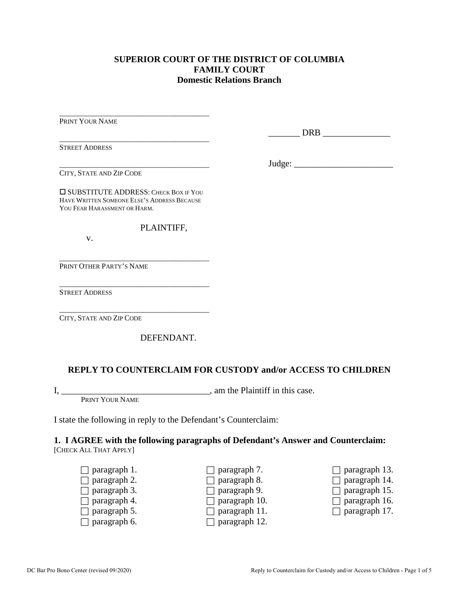### **SUPERIOR COURT OF THE DISTRICT OF COLUMBIA FAMILY COURT Domestic Relations Branch**

PRINT YOUR NAME

\_\_\_\_\_\_\_\_\_\_\_\_\_\_\_\_\_\_\_\_\_\_\_\_\_\_\_\_\_\_\_\_\_\_\_\_\_\_\_\_ STREET ADDRESS

DRB  $\Box$ 

Judge: \_\_\_\_\_\_\_\_\_\_\_\_\_\_\_\_\_\_\_\_\_\_

\_\_\_\_\_\_\_\_\_\_\_\_\_\_\_\_\_\_\_\_\_\_\_\_\_\_\_\_\_\_\_\_\_\_\_\_\_\_\_\_ CITY, STATE AND ZIP CODE

**O SUBSTITUTE ADDRESS: CHECK BOX IF YOU** HAVE WRITTEN SOMEONE ELSE'S ADDRESS BECAUSE YOU FEAR HARASSMENT OR HARM.

\_\_\_\_\_\_\_\_\_\_\_\_\_\_\_\_\_\_\_\_\_\_\_\_\_\_\_\_\_\_\_\_\_\_\_\_\_\_\_\_

\_\_\_\_\_\_\_\_\_\_\_\_\_\_\_\_\_\_\_\_\_\_\_\_\_\_\_\_\_\_\_\_\_\_\_\_\_\_\_\_

\_\_\_\_\_\_\_\_\_\_\_\_\_\_\_\_\_\_\_\_\_\_\_\_\_\_\_\_\_\_\_\_\_\_\_\_\_\_\_\_

PLAINTIFF,

v.

\_\_\_\_\_\_\_\_\_\_\_\_\_\_\_\_\_\_\_\_\_\_\_\_\_\_\_\_\_\_\_\_\_\_\_\_\_\_\_\_ PRINT OTHER PARTY'S NAME

STREET ADDRESS

CITY, STATE AND ZIP CODE

DEFENDANT.

### **REPLY TO COUNTERCLAIM FOR CUSTODY and/or ACCESS TO CHILDREN**

I, \_\_\_\_\_\_\_\_\_\_\_\_\_\_\_\_\_\_\_\_\_\_\_\_\_\_\_\_\_\_\_\_\_, am the Plaintiff in this case. PRINT YOUR NAME

I state the following in reply to the Defendant's Counterclaim:

# **1. I AGREE with the following paragraphs of Defendant's Answer and Counterclaim:**

[CHECK ALL THAT APPLY]

 $\Box$  paragraph 1.  $\Box$  paragraph 2.  $\Box$  paragraph 3.  $\Box$  paragraph 4.  $\Box$  paragraph 5.  $\Box$  paragraph 6.  $\Box$  paragraph 7.  $\Box$  paragraph 8.  $\Box$  paragraph 9.  $\Box$  paragraph 10.  $\Box$  paragraph 11.  $\Box$  paragraph 12.  $\Box$  paragraph 13.  $\Box$  paragraph 14.  $\Box$  paragraph 15.  $\Box$  paragraph 16.  $\Box$  paragraph 17.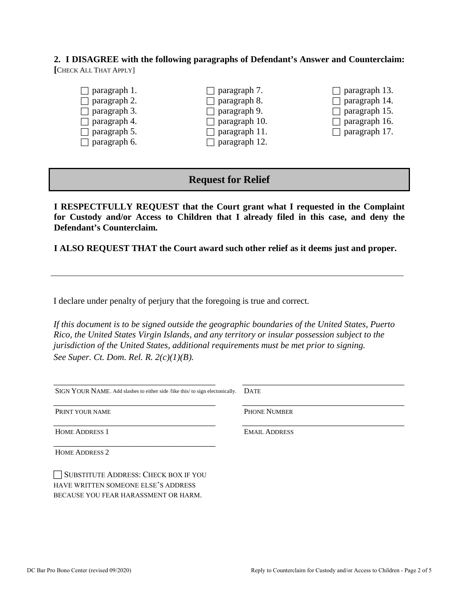**2. I DISAGREE with the following paragraphs of Defendant's Answer and Counterclaim: [**CHECK ALL THAT APPLY]



### **Request for Relief**

**I RESPECTFULLY REQUEST that the Court grant what I requested in the Complaint for Custody and/or Access to Children that I already filed in this case, and deny the Defendant's Counterclaim.**

**I ALSO REQUEST THAT the Court award such other relief as it deems just and proper.**

I declare under penalty of perjury that the foregoing is true and correct*.* 

*If this document is to be signed outside the geographic boundaries of the United States, Puerto Rico, the United States Virgin Islands, and any territory or insular possession subject to the jurisdiction of the United States, additional requirements must be met prior to signing. See Super. Ct. Dom. Rel. R. 2(c)(1)(B).*

| SIGN YOUR NAME. Add slashes to either side /like this/ to sign electonically. | <b>DATE</b>          |
|-------------------------------------------------------------------------------|----------------------|
| PRINT YOUR NAME                                                               | <b>PHONE NUMBER</b>  |
| <b>HOME ADDRESS 1</b>                                                         | <b>EMAIL ADDRESS</b> |
| <b>HOME ADDRESS 2</b>                                                         |                      |
| SUBSTITUTE ADDRESS: CHECK BOX IF YOU<br>HAVE WRITTEN SOMEONE ELSE'S ADDRESS   |                      |

BECAUSE YOU FEAR HARASSMENT OR HARM.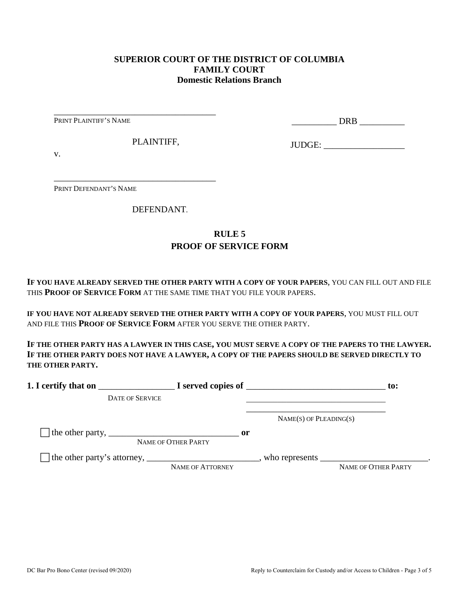### **SUPERIOR COURT OF THE DISTRICT OF COLUMBIA FAMILY COURT Domestic Relations Branch**

PRINT PLAINTIFF'S NAME

\_\_\_\_\_\_\_\_\_\_ DRB \_\_\_\_\_\_\_\_\_\_

PLAINTIFF,

\_\_\_\_\_\_\_\_\_\_\_\_\_\_\_\_\_\_\_\_\_\_\_\_\_\_\_\_\_\_\_\_\_\_\_\_

\_\_\_\_\_\_\_\_\_\_\_\_\_\_\_\_\_\_\_\_\_\_\_\_\_\_\_\_\_\_\_\_\_\_\_\_

JUDGE: \_\_\_\_\_\_\_\_\_\_\_\_\_\_\_\_\_\_

v.

PRINT DEFENDANT'S NAME

DEFENDANT.

## **RULE 5 PROOF OF SERVICE FORM**

**IF YOU HAVE ALREADY SERVED THE OTHER PARTY WITH A COPY OF YOUR PAPERS**, YOU CAN FILL OUT AND FILE THIS **PROOF OF SERVICE FORM** AT THE SAME TIME THAT YOU FILE YOUR PAPERS.

**IF YOU HAVE NOT ALREADY SERVED THE OTHER PARTY WITH A COPY OF YOUR PAPERS**, YOU MUST FILL OUT AND FILE THIS **PROOF OF SERVICE FORM** AFTER YOU SERVE THE OTHER PARTY.

**IF THE OTHER PARTY HAS A LAWYER IN THIS CASE, YOU MUST SERVE A COPY OF THE PAPERS TO THE LAWYER. IF THE OTHER PARTY DOES NOT HAVE A LAWYER, A COPY OF THE PAPERS SHOULD BE SERVED DIRECTLY TO THE OTHER PARTY.** 

| 1. I certify that on                                                                                      |                                      | $\blacksquare$ $\blacksquare$ I served copies of $\blacksquare$ | $\mathbf{to}$ :     |
|-----------------------------------------------------------------------------------------------------------|--------------------------------------|-----------------------------------------------------------------|---------------------|
| <b>DATE OF SERVICE</b>                                                                                    |                                      |                                                                 |                     |
|                                                                                                           |                                      | $NAME(S)$ OF PLEADING(S)                                        |                     |
| The other party, $\frac{1}{\sqrt{1-\frac{1}{2}}}\left\lfloor \frac{1}{2}\right\rfloor$                    | $\mathbf{or}$<br>NAME OF OTHER PARTY |                                                                 |                     |
| The other party's attorney, _______________________________, who represents ____________________________. | NAME OF ATTORNEY                     |                                                                 | NAME OF OTHER PARTY |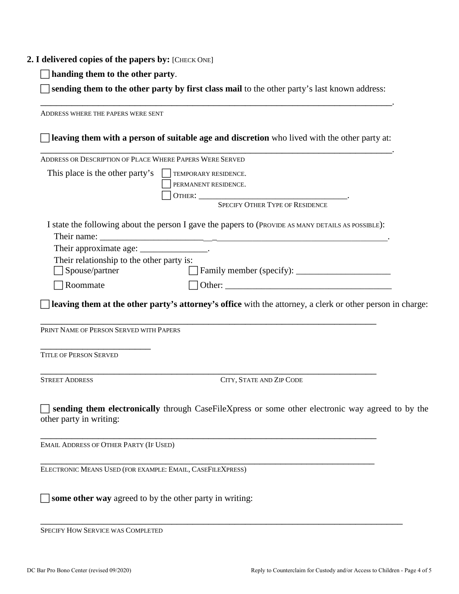#### **2. I delivered copies of the papers by:** [CHECK ONE]

**handing them to the other party**.

 **sending them to the other party by first class mail** to the other party's last known address: \_\_\_\_\_\_\_\_\_\_\_\_\_\_\_\_\_\_\_\_\_\_\_\_\_\_\_\_\_\_\_\_\_\_\_\_\_\_\_\_\_\_\_\_\_\_\_\_\_\_\_\_\_\_\_\_\_\_\_\_\_\_\_\_\_\_\_.

ADDRESS WHERE THE PAPERS WERE SENT **leaving them with a person of suitable age and discretion** who lived with the other party at: \_\_\_\_\_\_\_\_\_\_\_\_\_\_\_\_\_\_\_\_\_\_\_\_\_\_\_\_\_\_\_\_\_\_\_\_\_\_\_\_\_\_\_\_\_\_\_\_\_\_\_\_\_\_\_\_\_\_\_\_\_\_\_\_\_\_\_. ADDRESS OR DESCRIPTION OF PLACE WHERE PAPERS WERE SERVED This place is the other party's  $\Box$  TEMPORARY RESIDENCE. PERMANENT RESIDENCE. OTHER: \_\_\_\_\_\_\_\_\_\_\_\_\_\_\_\_\_\_\_\_\_\_\_\_\_\_\_\_\_\_\_\_\_. SPECIFY OTHER TYPE OF RESIDENCE I state the following about the person I gave the papers to (PROVIDE AS MANY DETAILS AS POSSIBLE): Their name: Their approximate age: \_\_\_\_\_\_\_\_\_\_\_\_\_\_\_\_\_. Their relationship to the other party is: □ Spouse/partner Family member (specify): \_\_\_\_\_\_\_\_\_\_\_\_\_\_\_\_\_\_\_\_\_\_\_\_\_\_  $\Box$  Roommate  $\Box$  Other: **leaving them at the other party's attorney's office** with the attorney, a clerk or other person in charge: \_\_\_\_\_\_\_\_\_\_\_\_\_\_\_\_\_\_\_\_\_\_\_\_\_\_\_\_\_\_\_\_\_\_\_\_\_\_\_\_\_\_\_\_\_\_\_\_\_\_\_\_\_\_\_\_\_\_\_\_\_\_\_\_ PRINT NAME OF PERSON SERVED WITH PAPERS \_\_\_\_\_\_\_\_\_\_\_\_\_\_\_\_\_\_\_\_\_ TITLE OF PERSON SERVED \_\_\_\_\_\_\_\_\_\_\_\_\_\_\_\_\_\_\_\_\_\_\_\_\_\_\_\_\_\_\_\_\_\_\_\_\_\_\_\_\_\_\_\_\_\_\_\_\_\_\_\_\_\_\_\_\_\_\_\_\_\_\_\_ STREET ADDRESS CITY, STATE AND ZIP CODE **sending them electronically** through CaseFileXpress or some other electronic way agreed to by the other party in writing: \_\_\_\_\_\_\_\_\_\_\_\_\_\_\_\_\_\_\_\_\_\_\_\_\_\_\_\_\_\_\_\_\_\_\_\_\_\_\_\_\_\_\_\_\_\_\_\_\_\_\_\_\_\_\_\_\_\_\_\_\_\_\_\_ EMAIL ADDRESS OF OTHER PARTY (IF USED) \_\_\_\_\_\_\_\_\_\_\_\_\_\_\_\_\_\_\_\_\_\_\_\_\_\_\_\_\_\_\_\_\_\_\_\_\_\_\_\_\_\_\_\_\_\_\_\_\_\_\_\_\_\_\_\_\_\_\_\_\_\_\_\_ ELECTRONIC MEANS USED (FOR EXAMPLE: EMAIL, CASEFILEXPRESS)  $\Box$  **some other way** agreed to by the other party in writing:

\_\_\_\_\_\_\_\_\_\_\_\_\_\_\_\_\_\_\_\_\_\_\_\_\_\_\_\_\_\_\_\_\_\_\_\_\_\_\_\_\_\_\_\_\_\_\_\_\_\_\_\_\_\_\_\_\_\_\_\_\_\_\_\_\_\_\_\_\_ SPECIFY HOW SERVICE WAS COMPLETED